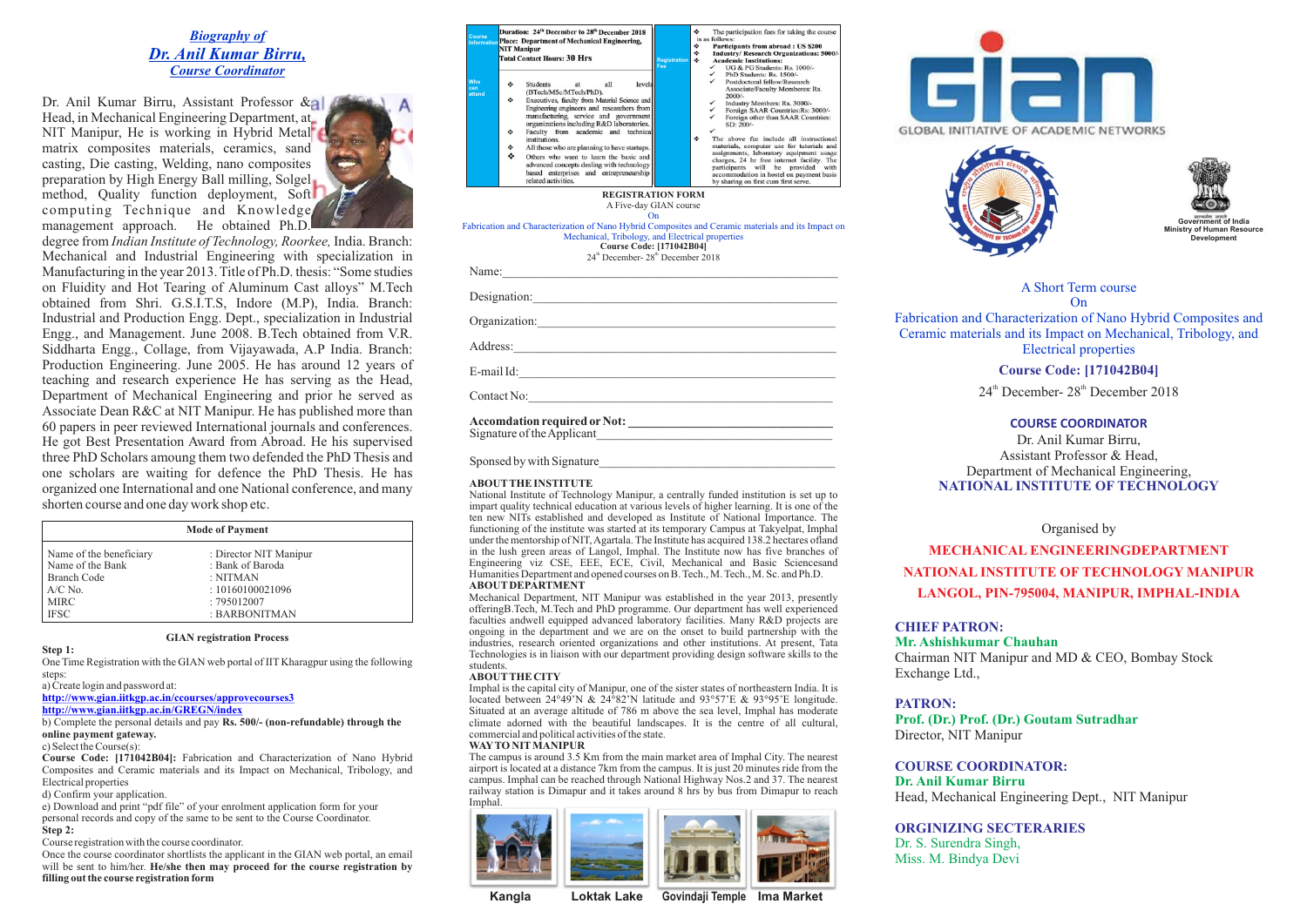# *Biography of Dr. Anil Kumar Birru, Course Coordinator*

Dr. Anil Kumar Birru, Assistant Professor & Head, in Mechanical Engineering Department, at NIT Manipur, He is working in Hybrid Metal matrix composites materials, ceramics, sand casting, Die casting, Welding, nano composites preparation by High Energy Ball milling, Solgel method, Quality function deployment, Soft computing Technique and Knowledge management approach. He obtained Ph.D.



*Indian Institute of Technology, Roorkee,* India. Branch: degree from Mechanical and Industrial Engineering with specialization in Manufacturing in the year 2013. Title of Ph.D. thesis: "Some studies on Fluidity and Hot Tearing of Aluminum Cast alloys" M.Tech obtained from Shri. G.S.I.T.S, Indore (M.P), India. Branch: Industrial and Production Engg. Dept., specialization in Industrial Engg., and Management. June 2008. B.Tech obtained from V.R. Siddharta Engg., Collage, from Vijayawada, A.P India. Branch: Production Engineering. June 2005. He has around 12 years of teaching and research experience He has serving as the Head, Department of Mechanical Engineering and prior he served as Associate Dean R&C at NIT Manipur. He has published more than 60 papers in peer reviewed International journals and conferences. He got Best Presentation Award from Abroad. He his supervised three PhD Scholars amoung them two defended the PhD Thesis and one scholars are waiting for defence the PhD Thesis. He has organized one International and one National conference, and many shorten course and one day work shop etc.

| <b>Mode of Payment</b>  |                        |  |
|-------------------------|------------------------|--|
| Name of the beneficiary | : Director NIT Manipur |  |
| Name of the Bank        | : Bank of Baroda       |  |
| <b>Branch Code</b>      | : NITMAN               |  |
| $A/C$ No.               | : 10160100021096       |  |
| <b>MIRC</b>             | : 795012007            |  |
| <b>IFSC</b>             | : BARBONITMAN          |  |

#### **GIAN registration Process**

**Step 1:** 

One Time Registration with the GIAN web portal of IIT Kharagpur using the following steps:

a) Create login and password at:

**http://www.gian.iitkgp.ac.in/ccourses/approvecourses3**

**http://www.gian.iitkgp.ac.in/GREGN/index**

b) Complete the personal details and pay **Rs. 500/- (non-refundable) through the online payment gateway.** 

### c) Select the Course(s):

**Course Code: [171042B04]:** Fabrication and Characterization of Nano Hybrid Composites and Ceramic materials and its Impact on Mechanical, Tribology, and Electrical properties

d) Confirm your application.

e) Download and print "pdf file" of your enrolment application form for your personal records and copy of the same to be sent to the Course Coordinator. **Step 2:** 

Course registration with the course coordinator.

Once the course coordinator shortlists the applicant in the GIAN web portal, an email will be sent to him/her. **He/she then may proceed for the course registration by filling out the course registration form**

| Course<br>Information | Duration: 24th December to 28th December 2018<br>Place: Department of Mechanical Engineering,<br><b>NIT Manipur</b><br><b>Total Contact Hours: 30 Hrs</b>                                                                                                                                                                                                                                                                                                                                                                               | ۰<br>The participation fees for taking the course<br>is as follows:<br>۰<br>Participants from abroad: US \$200<br>۰<br><b>Industry/ Research Organizations: 5000/-</b><br>۰<br><b>Academic Institutions:</b><br><b>Registration</b><br>UG & PG Students: Rs. 1000/-<br>Fee<br>$\checkmark$<br>$\checkmark$                                                                                                                                                                                                                                          |
|-----------------------|-----------------------------------------------------------------------------------------------------------------------------------------------------------------------------------------------------------------------------------------------------------------------------------------------------------------------------------------------------------------------------------------------------------------------------------------------------------------------------------------------------------------------------------------|-----------------------------------------------------------------------------------------------------------------------------------------------------------------------------------------------------------------------------------------------------------------------------------------------------------------------------------------------------------------------------------------------------------------------------------------------------------------------------------------------------------------------------------------------------|
| Who<br>can<br>attend  | Students<br>all<br>٠<br>at<br>levels<br>(BTech/MSc/MTech/PhD).<br>Executives, faculty from Material Science and<br>۰<br>Engineering engineers and researchers from<br>manufacturing, service and government<br>organizations including R&D laboratories.<br>Faculty from academic and technical<br>۰<br>institutions.<br>All those who are planning to have startups.<br>۰<br>÷<br>Others who want to learn the basic and<br>advanced concepts dealing with technology<br>based enterprises and entrepreneurship<br>related activities. | PhD Students: Rs. 1500/-<br>Postdoctoral fellow/Research<br>Associate/Faculty Memberes: Rs.<br>$2000/-$<br>Industry Members: Rs. 3000/-<br>Foreign SAAR Countries: Rs: 3000/-<br>Foreign other than SAAR Countries:<br>SD: 200/-<br>۰<br>The above fee include all instructional<br>materials, computer use for tutorials and<br>assignments, laboratory equipment usage<br>charges, 24 hr free internet facility. The<br>participants will be provided<br>with<br>accommodation in hostel on payment basis<br>by sharing on first cum first serve. |
|                       |                                                                                                                                                                                                                                                                                                                                                                                                                                                                                                                                         | <b>REGISTRATION FORM</b><br>A Five-day GIAN course<br>On<br>Fabrication and Characterization of Nano Hybrid Composites and Ceramic materials and its Impact on<br>Mechanical, Tribology, and Electrical properties<br><b>Course Code: [171042B04]</b><br>24 <sup>th</sup> December-28 <sup>th</sup> December 2018                                                                                                                                                                                                                                   |
| Name:                 |                                                                                                                                                                                                                                                                                                                                                                                                                                                                                                                                         |                                                                                                                                                                                                                                                                                                                                                                                                                                                                                                                                                     |
|                       | Designation:                                                                                                                                                                                                                                                                                                                                                                                                                                                                                                                            |                                                                                                                                                                                                                                                                                                                                                                                                                                                                                                                                                     |
|                       | Organization:                                                                                                                                                                                                                                                                                                                                                                                                                                                                                                                           |                                                                                                                                                                                                                                                                                                                                                                                                                                                                                                                                                     |
| Address:              |                                                                                                                                                                                                                                                                                                                                                                                                                                                                                                                                         |                                                                                                                                                                                                                                                                                                                                                                                                                                                                                                                                                     |
| $E$ -mail Id $\cdot$  |                                                                                                                                                                                                                                                                                                                                                                                                                                                                                                                                         |                                                                                                                                                                                                                                                                                                                                                                                                                                                                                                                                                     |

Contact No:

**Accomdation required orNot: \_\_\_\_\_\_\_\_\_\_\_\_\_\_\_\_\_\_\_\_\_\_\_\_\_\_\_\_\_\_\_\_\_** Signature of the Applicant\_\_\_\_\_\_\_\_\_\_\_\_\_\_\_\_\_\_\_\_\_\_\_\_\_\_\_\_\_\_\_\_\_\_\_\_\_\_

Sponsed by with Signature

#### **ABOUTTHE INSTITUTE**

National Institute of Technology Manipur, a centrally funded institution is set up to impart quality technical education at various levels of higher learning. It is one of the ten new NITs established and developed as Institute of National Importance. The functioning of the institute was started at its temporary Campus at Takyelpat, Imphal under the mentorship of NIT, Agartala. The Institute has acquired 138.2 hectares ofland in the lush green areas of Langol, Imphal. The Institute now has five branches of Engineering viz CSE, EEE, ECE, Civil, Mechanical and Basic Sciencesand Humanities Department and opened courses on B. Tech., M. Tech., M. Sc. and Ph.D. **ABOUTDEPARTMENT**

Mechanical Department, NIT Manipur was established in the year 2013, presently offeringB.Tech, M.Tech and PhD programme. Our department has well experienced faculties andwell equipped advanced laboratory facilities. Many R&D projects are ongoing in the department and we are on the onset to build partnership with the industries, research oriented organizations and other institutions. At present, Tata Technologies is in liaison with our department providing design software skills to the students.

#### **ABOUTTHE CITY**

Imphal is the capital city of Manipur, one of the sister states of northeastern India. It is located between 24°49'N & 24°82'N latitude and 93°57'E & 93°95'E longitude. Situated at an average altitude of 786 m above the sea level, Imphal has moderate climate adorned with the beautiful landscapes. It is the centre of all cultural, commercial and political activities of the state.

#### **WAYTO NITMANIPUR**

The campus is around 3.5 Km from the main market area of Imphal City. The nearest airport is located at a distance 7km from the campus. It is just 20 minutes ride from the campus. Imphal can be reached through National Highway Nos.2 and 37. The nearest railway station is Dimapur and it takes around 8 hrs by bus from Dimapur to reach Imphal.





**Kangla Loktak Lake Govindaji Temple Ima Market**







A Short Term course

On Fabrication and Characterization of Nano Hybrid Composites and Ceramic materials and its Impact on Mechanical, Tribology, and Electrical properties

## **Course Code: [171042B04]**

 $24<sup>th</sup>$  December-  $28<sup>th</sup>$  December 2018

### **COURSE COORDINATOR**

**NATIONAL INSTITUTE OF TECHNOLOGY** Dr. Anil Kumar Birru, Assistant Professor & Head, Department of Mechanical Engineering,

### Organised by

**MECHANICAL ENGINEERINGDEPARTMENT NATIONAL INSTITUTE OF TECHNOLOGY MANIPUR LANGOL, PIN-795004, MANIPUR, IMPHAL-INDIA**

## **CHIEF PATRON:**

### **Mr. Ashishkumar Chauhan**

Chairman NIT Manipur and MD & CEO, Bombay Stock Exchange Ltd.,

### **PATRON:**

**Prof. (Dr.) Prof. (Dr.) Goutam Sutradhar** Director, NIT Manipur

#### **COURSE COORDINATOR:**

**Dr. Anil Kumar Birru** Head, Mechanical Engineering Dept., NIT Manipur

### **ORGINIZING SECTERARIES**

Dr. S. Surendra Singh, Miss. M. Bindya Devi